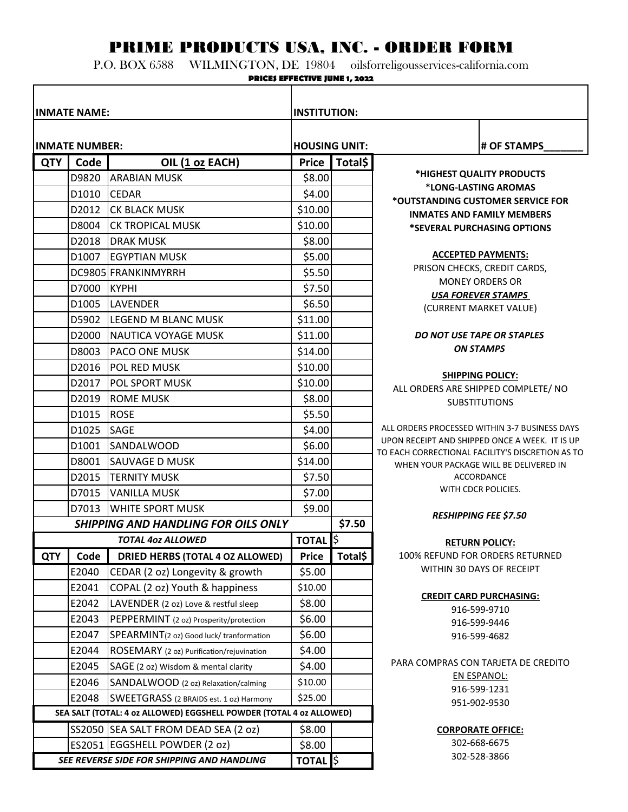## PRIME PRODUCTS USA, INC. - ORDER FORM

P.O. BOX 6588 WILMINGTON, DE 19804 oilsforreligousservices-california.com

| <b>PRICES EFFECTIVE JUNE 1, 2022</b>             |                     |                                                                     |                        |              |                                                                                            |  |  |  |  |  |  |  |
|--------------------------------------------------|---------------------|---------------------------------------------------------------------|------------------------|--------------|--------------------------------------------------------------------------------------------|--|--|--|--|--|--|--|
|                                                  | <b>INMATE NAME:</b> |                                                                     | <b>INSTITUTION:</b>    |              |                                                                                            |  |  |  |  |  |  |  |
| <b>INMATE NUMBER:</b>                            |                     |                                                                     | <b>HOUSING UNIT:</b>   |              | # OF STAMPS                                                                                |  |  |  |  |  |  |  |
| Code<br>OIL (1 oz EACH)<br><b>QTY</b>            |                     |                                                                     |                        | Total\$      |                                                                                            |  |  |  |  |  |  |  |
|                                                  | D9820               | <b>ARABIAN MUSK</b>                                                 | <b>Price</b><br>\$8.00 |              | *HIGHEST QUALITY PRODUCTS                                                                  |  |  |  |  |  |  |  |
|                                                  | D1010               | <b>CEDAR</b>                                                        | \$4.00                 |              | *LONG-LASTING AROMAS                                                                       |  |  |  |  |  |  |  |
|                                                  |                     |                                                                     |                        |              | *OUTSTANDING CUSTOMER SERVICE FOR                                                          |  |  |  |  |  |  |  |
|                                                  | D2012               | <b>CK BLACK MUSK</b>                                                | \$10.00                |              | <b>INMATES AND FAMILY MEMBERS</b>                                                          |  |  |  |  |  |  |  |
|                                                  | D8004               | <b>CK TROPICAL MUSK</b>                                             | \$10.00                |              | *SEVERAL PURCHASING OPTIONS                                                                |  |  |  |  |  |  |  |
|                                                  | D2018               | <b>DRAK MUSK</b>                                                    | \$8.00                 |              | <b>ACCEPTED PAYMENTS:</b>                                                                  |  |  |  |  |  |  |  |
|                                                  | D1007               | <b>EGYPTIAN MUSK</b>                                                | \$5.00                 |              | PRISON CHECKS, CREDIT CARDS,                                                               |  |  |  |  |  |  |  |
|                                                  |                     | DC9805 FRANKINMYRRH                                                 | \$5.50                 |              | <b>MONEY ORDERS OR</b>                                                                     |  |  |  |  |  |  |  |
|                                                  | D7000               | Ікүрні                                                              | \$7.50                 |              | <b>USA FOREVER STAMPS</b>                                                                  |  |  |  |  |  |  |  |
|                                                  | D1005               | <b>LAVENDER</b>                                                     | \$6.50                 |              | (CURRENT MARKET VALUE)                                                                     |  |  |  |  |  |  |  |
|                                                  | D5902               | LEGEND M BLANC MUSK                                                 | \$11.00                |              |                                                                                            |  |  |  |  |  |  |  |
|                                                  | D2000               | NAUTICA VOYAGE MUSK                                                 | \$11.00                |              | DO NOT USE TAPE OR STAPLES                                                                 |  |  |  |  |  |  |  |
|                                                  | D8003               | <b>PACO ONE MUSK</b>                                                | \$14.00                |              | <b>ON STAMPS</b>                                                                           |  |  |  |  |  |  |  |
|                                                  | D2016               | POL RED MUSK                                                        | \$10.00                |              |                                                                                            |  |  |  |  |  |  |  |
|                                                  | D2017               | <b>POL SPORT MUSK</b>                                               | \$10.00                |              | <b>SHIPPING POLICY:</b><br>ALL ORDERS ARE SHIPPED COMPLETE/ NO                             |  |  |  |  |  |  |  |
|                                                  | D2019               | <b>ROME MUSK</b>                                                    | \$8.00                 |              | <b>SUBSTITUTIONS</b>                                                                       |  |  |  |  |  |  |  |
|                                                  | D1015               | <b>ROSE</b>                                                         | \$5.50                 |              |                                                                                            |  |  |  |  |  |  |  |
|                                                  | D1025               | <b>SAGE</b>                                                         | \$4.00                 |              | ALL ORDERS PROCESSED WITHIN 3-7 BUSINESS DAYS                                              |  |  |  |  |  |  |  |
|                                                  | D1001               | <b>SANDALWOOD</b>                                                   | \$6.00                 |              | UPON RECEIPT AND SHIPPED ONCE A WEEK. IT IS UP                                             |  |  |  |  |  |  |  |
|                                                  | D8001               | <b>SAUVAGE D MUSK</b>                                               | \$14.00                |              | TO EACH CORRECTIONAL FACILITY'S DISCRETION AS TO<br>WHEN YOUR PACKAGE WILL BE DELIVERED IN |  |  |  |  |  |  |  |
|                                                  | D2015               | <b>TERNITY MUSK</b>                                                 | \$7.50                 |              | <b>ACCORDANCE</b>                                                                          |  |  |  |  |  |  |  |
|                                                  | D7015               | <b>VANILLA MUSK</b>                                                 | \$7.00                 |              | WITH CDCR POLICIES.                                                                        |  |  |  |  |  |  |  |
|                                                  | D7013               | <b>WHITE SPORT MUSK</b>                                             | \$9.00                 |              |                                                                                            |  |  |  |  |  |  |  |
| <b>SHIPPING AND HANDLING FOR OILS ONLY</b>       |                     |                                                                     |                        | \$7.50       | <b>RESHIPPING FEE \$7.50</b>                                                               |  |  |  |  |  |  |  |
| <b>TOTAL 402 ALLOWED</b>                         |                     |                                                                     |                        | <b>TOTAL</b> | <b>RETURN POLICY:</b>                                                                      |  |  |  |  |  |  |  |
| <b>QTY</b>                                       | Code                | <b>DRIED HERBS (TOTAL 4 OZ ALLOWED)</b>                             | <b>Price</b>           | Total\$      | 100% REFUND FOR ORDERS RETURNED                                                            |  |  |  |  |  |  |  |
|                                                  | E2040               | CEDAR (2 oz) Longevity & growth                                     | \$5.00                 |              | WITHIN 30 DAYS OF RECEIPT                                                                  |  |  |  |  |  |  |  |
|                                                  | E2041               | COPAL (2 oz) Youth & happiness                                      | \$10.00                |              |                                                                                            |  |  |  |  |  |  |  |
|                                                  | E2042               | LAVENDER (2 oz) Love & restful sleep                                | \$8.00                 |              | <b>CREDIT CARD PURCHASING:</b>                                                             |  |  |  |  |  |  |  |
|                                                  | E2043               | PEPPERMINT (2 oz) Prosperity/protection                             | \$6.00                 |              | 916-599-9710                                                                               |  |  |  |  |  |  |  |
|                                                  | E2047               | SPEARMINT(2 oz) Good luck/ tranformation                            | \$6.00                 |              | 916-599-9446                                                                               |  |  |  |  |  |  |  |
|                                                  |                     |                                                                     |                        |              | 916-599-4682                                                                               |  |  |  |  |  |  |  |
|                                                  | E2044               | ROSEMARY (2 oz) Purification/rejuvination                           | \$4.00                 |              | PARA COMPRAS CON TARJETA DE CREDITO                                                        |  |  |  |  |  |  |  |
|                                                  | E2045               | SAGE (2 oz) Wisdom & mental clarity                                 | \$4.00                 |              | <b>EN ESPANOL:</b>                                                                         |  |  |  |  |  |  |  |
|                                                  | E2046               | SANDALWOOD (2 oz) Relaxation/calming                                | \$10.00                |              | 916-599-1231                                                                               |  |  |  |  |  |  |  |
| E2048<br>SWEETGRASS (2 BRAIDS est. 1 oz) Harmony |                     |                                                                     | \$25.00                |              | 951-902-9530                                                                               |  |  |  |  |  |  |  |
|                                                  |                     | SEA SALT (TOTAL: 4 oz ALLOWED) EGGSHELL POWDER (TOTAL 4 oz ALLOWED) |                        |              |                                                                                            |  |  |  |  |  |  |  |
|                                                  |                     | SS2050 SEA SALT FROM DEAD SEA (2 oz)                                | \$8.00                 |              | <b>CORPORATE OFFICE:</b>                                                                   |  |  |  |  |  |  |  |
|                                                  |                     | ES2051 EGGSHELL POWDER (2 oz)                                       | \$8.00                 |              | 302-668-6675                                                                               |  |  |  |  |  |  |  |
| SEE REVERSE SIDE FOR SHIPPING AND HANDLING       |                     |                                                                     | <b>TOTAL</b>           |              | 302-528-3866                                                                               |  |  |  |  |  |  |  |